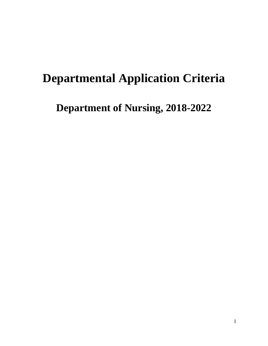# **Departmental Application Criteria**

**Department of Nursing, 2018-2022**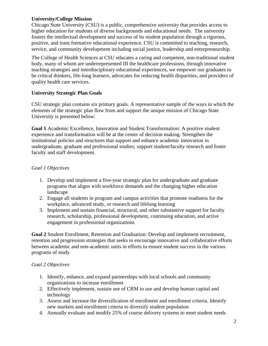#### **University/College Mission**

Chicago State University (CSU) is a public, comprehensive university that provides access to higher education for students of diverse backgrounds and educational needs. The university fosters the intellectual development and success of its student population through a rigorous, positive, and trans formative educational experience. CSU is committed to teaching, research, service, and community development including social justice, leadership and entrepreneurship.

The College of Health Sciences at CSU educates a caring and competent, non-traditional student body, many of whom are underrepresented III the healthcare professions, through innovative teaching strategies and interdisciplinary educational experiences, we empower our graduates to be critical thinkers, life-long learners, advocates for reducing health disparities, and providers of quality health care services.

### **University Strategic Plan Goals**

CSU strategic plan contains six primary goals. A representative sample of the ways in which the elements of the strategic plan flow from and support the unique mission of Chicago State University is presented below:

**Goal 1** Academic Excellence, Innovation and Student Transformation: A positive student experience and transformation will be at the center of decision making. Strengthen the institutional policies and structures that support and enhance academic innovation in undergraduate, graduate and professional studies; support student/faculty research and foster faculty and staff development.

### *Goal 1 Objectives*

- 1. Develop and implement a five-year strategic plan for undergraduate and graduate programs that aligns with workforce demands and the changing higher education landscape
- 2. Engage all students in program and campus activities that promote readiness for the workplace, advanced study, or research and lifelong learning
- 3. Implement and sustain financial, structural, and other substantive support for faculty research, scholarship, professional development, continuing education, and active engagement in professional organizations

**Goal 2** Student Enrollment, Retention and Graduation: Develop and implement recruitment, retention and progression strategies that seeks to encourage innovative and collaborative efforts between academic and non-academic units in efforts to ensure student success in the various programs of study

## *Goal 2 Objectives*

- 1. Identify, enhance, and expand partnerships with local schools and community organizations to increase enrollment
- 2. Effectively implement, sustain use of CRM to use and develop human capital and technology
- 3. Assess and increase the diversification of enrollment and enrollment criteria. Identify new markets and enrollment criteria to diversify student population
- 4. Annually evaluate and modify 25% of course delivery systems to meet student needs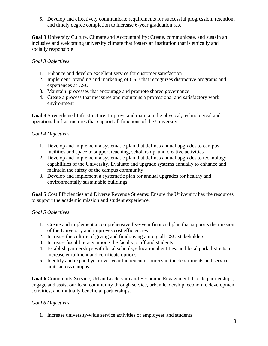5. Develop and effectively communicate requirements for successful progression, retention, and timely degree completion to increase 6-year graduation rate

**Goal 3** University Culture, Climate and Accountability: Create, communicate, and sustain an inclusive and welcoming university climate that fosters an institution that is ethically and socially responsible

#### *Goal 3 Objectives*

- 1. Enhance and develop excellent service for customer satisfaction
- 2. Implement branding and marketing of CSU that recognizes distinctive programs and experiences at CSU
- 3. Maintain processes that encourage and promote shared governance
- 4. Create a process that measures and maintains a professional and satisfactory work environment

**Goal 4** Strengthened Infrastructure: Improve and maintain the physical, technological and operational infrastructures that support all functions of the University.

### *Goal 4 Objectives*

- 1. Develop and implement a systematic plan that defines annual upgrades to campus facilities and space to support teaching, scholarship, and creative activities
- 2. Develop and implement a systematic plan that defines annual upgrades to technology capabilities of the University. Evaluate and upgrade systems annually to enhance and maintain the safety of the campus community
- 3. Develop and implement a systematic plan for annual upgrades for healthy and environmentally sustainable buildings

**Goal 5** Cost Efficiencies and Diverse Revenue Streams: Ensure the University has the resources to support the academic mission and student experience.

## *Goal 5 Objectives*

- 1. Create and implement a comprehensive five-year financial plan that supports the mission of the University and improves cost efficiencies
- 2. Increase the culture of giving and fundraising among all CSU stakeholders
- 3. Increase fiscal literacy among the faculty, staff and students
- 4. Establish partnerships with local schools, educational entities, and local park districts to increase enrollment and certificate options
- 5. Identify and expand year over year the revenue sources in the departments and service units across campus

**Goal 6** Community Service, Urban Leadership and Economic Engagement: Create partnerships, engage and assist our local community through service, urban leadership, economic development activities, and mutually beneficial partnerships.

## *Goal 6 Objectives*

1. Increase university-wide service activities of employees and students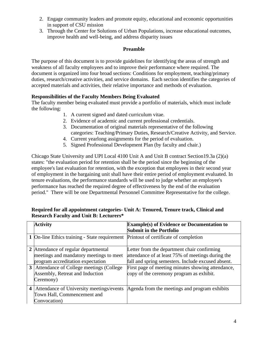- 2. Engage community leaders and promote equity, educational and economic opportunities in support of CSU mission
- 3. Through the Center for Solutions of Urban Populations, increase educational outcomes, improve health and well-being, and address disparity issues

#### **Preamble**

The purpose of this document is to provide guidelines for identifying the areas of strength and weakness of all faculty employees and to improve their performance where required. The document is organized into four broad sections: Conditions for employment, teaching/primary duties, research/creative activities, and service domains. Each section identifies the categories of accepted materials and activities, their relative importance and methods of evaluation.

## **Responsibilities of the Faculty Members Being Evaluated**

The faculty member being evaluated must provide a portfolio of materials, which must include the following:

- 1. A current signed and dated curriculum vitae.
- 2. Evidence of academic and current professional credentials.
- 3. Documentation of original materials representative of the following categories: Teaching/Primary Duties, Research/Creative Activity, and Service.
- 4. Current yearlong assignments for the period of evaluation.
- 5. Signed Professional Development Plan (by faculty and chair.)

Chicago State University and UPI Local 4100 Unit A and Unit B contract Section19.3a (2)(a) states: "the evaluation period for retention shall be the period since the beginning of the employee's last evaluation for retention, with the exception that employees in their second year of employment in the bargaining unit shall have their entire period of employment evaluated. In tenure evaluations, the performance standards will be used to judge whether an employee's performance has reached the required degree of effectiveness by the end of the evaluation period." There will be one Departmental Personnel Committee Representative for the college.

|                         | <b>Activity</b>                               | <b>Example(s) of Evidence or Documentation to</b>  |
|-------------------------|-----------------------------------------------|----------------------------------------------------|
|                         |                                               | <b>Submit in the Portfolio</b>                     |
|                         | 1 On-line Ethics training - State requirement | Printout of certificate of completion              |
|                         |                                               |                                                    |
|                         | 2 Attendance of regular departmental          | Letter from the department chair confirming        |
|                         | meetings and mandatory meetings to meet       | attendance of at least 75% of meetings during the  |
|                         | program accreditation expectation             | fall and spring semesters. Include excused absent. |
| 3 <sup>1</sup>          | Attendance of College meetings (College       | First page of meeting minutes showing attendance,  |
|                         | Assembly, Retreat and Induction               | copy of the ceremony program as exhibit.           |
|                         | Ceremony)                                     |                                                    |
| $\overline{\mathbf{4}}$ | Attendance of University meetings/events      | Agenda from the meetings and program exhibits      |
|                         | Town Hall, Commencement and                   |                                                    |
|                         | Convocation)                                  |                                                    |

#### **Required for all appointment categories- Unit A: Tenured, Tenure track, Clinical and Research Faculty and Unit B: Lecturers\***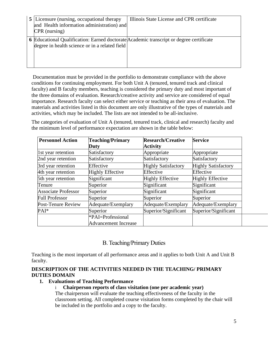| <b>5</b> Licensure (nursing, occupational therapy<br>and Health information administration) and<br>CPR (nursing)                          | Illinois State License and CPR certificate |
|-------------------------------------------------------------------------------------------------------------------------------------------|--------------------------------------------|
| 6 Educational Qualification: Earned doctorate Academic transcript or degree certificate<br>degree in health science or in a related field |                                            |

Documentation must be provided in the portfolio to demonstrate compliance with the above conditions for continuing employment. For both Unit A (tenured, tenured track and clinical faculty) and B faculty members, teaching is considered the primary duty and most important of the three domains of evaluation. Research/creative activity and service are considered of equal importance. Research faculty can select either service or teaching as their area of evaluation. The materials and activities listed in this document are only illustrative of the types of materials and activities, which may be included. The lists are not intended to be all-inclusive.

The categories of evaluation of Unit A (tenured, tenured track, clinical and research) faculty and the minimum level of performance expectation are shown in the table below:

| <b>Personnel Action</b>    | <b>Teaching/Primary</b>     | <b>Research/Creative</b>   | <b>Service</b>             |
|----------------------------|-----------------------------|----------------------------|----------------------------|
|                            | Duty                        | <b>Activity</b>            |                            |
| 1st year retention         | Satisfactory                | Appropriate                | Appropriate                |
| 2nd year retention         | Satisfactory                | Satisfactory               | Satisfactory               |
| 3rd year retention         | Effective                   | <b>Highly Satisfactory</b> | <b>Highly Satisfactory</b> |
| 4th year retention         | <b>Highly Effective</b>     | Effective                  | Effective                  |
| 5th year retention         | Significant                 | <b>Highly Effective</b>    | <b>Highly Effective</b>    |
| Tenure                     | Superior                    | Significant                | Significant                |
| <b>Associate Professor</b> | Superior                    | Significant                | Significant                |
| <b>Full Professor</b>      | Superior                    | Superior                   | Superior                   |
| Post-Tenure Review         | Adequate/Exemplary          | Adequate/Exemplary         | Adequate/Exemplary         |
| $PAI^*$                    | Superior                    | Superior/Significant       | Superior/Significant       |
|                            | *PAI=Professional           |                            |                            |
|                            | <b>Advancement Increase</b> |                            |                            |

## B. Teaching/Primary Duties

Teaching is the most important of all performance areas and it applies to both Unit A and Unit B faculty.

#### **DESCRIPTION OF THE ACTIVITIES NEEDED IN THE TEACHING/ PRIMARY DUTIES DOMAIN**

#### **1. Evaluations of Teaching Performance**

#### i **Chairperson reports of class visitation (one per academic year)**

The chairperson will evaluate the teaching effectiveness of the faculty in the classroom setting. All completed course visitation forms completed by the chair will be included in the portfolio and a copy to the faculty.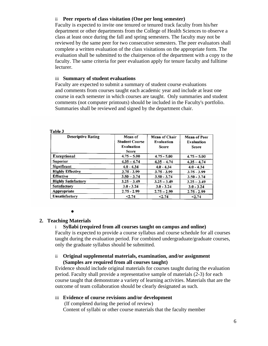#### ii **Peer reports of class visitation (One per long semester)**

Faculty is expected to invite one tenured or tenured track faculty from his/her department or other departments from the College of Health Sciences to observe a class at least once during the fall and spring semesters. The faculty may not be reviewed by the same peer for two consecutive semesters. The peer evaluators shall complete a written evaluation of the class visitations on the appropriate form. The evaluation shall be submitted to the chairperson of the department with a copy to the faculty. The same criteria for peer evaluation apply for tenure faculty and fulltime lecturer.

#### iii **Summary of student evaluations**

Faculty are expected to submit a summary of student course evaluations and comments from courses taught each academic year and include at least one course in each semester in which courses are taught. Only summaries and student comments (not computer printouts) should be included in the Faculty's portfolio. Summaries shall be reviewed and signed by the department chair.

| <b>Descriptive Rating</b>  | Mean of<br><b>Student Course</b><br><b>Evaluation</b><br><b>Score</b> | <b>Mean of Chair</b><br><b>Evaluation</b><br><b>Score</b> | <b>Mean of Peer</b><br><b>Evaluation</b><br>Score |
|----------------------------|-----------------------------------------------------------------------|-----------------------------------------------------------|---------------------------------------------------|
| <b>Exceptional</b>         | $4.75 - 5.00$                                                         | $4.75 - 5.00$                                             | $4.75 - 5.00$                                     |
| <b>Superior</b>            | $4.35 - 4.74$                                                         | $4.35 - 4.74$                                             | $4.35 - 4.74$                                     |
| <b>Significant</b>         | $4.0 - 4.34$                                                          | $4.0 - 4.34$                                              | $4.0 - 4.34$                                      |
| <b>Highly Effective</b>    | $3.75 - 3.99$                                                         | $3.75 - 3.99$                                             | $3.75 - 3.99$                                     |
| <b>Effective</b>           | $3.50 - 3.74$                                                         | $3.50 - 3.74$                                             | $3.50 - 3.74$                                     |
| <b>Highly Satisfactory</b> | $3.25 - 3.49$                                                         | $3.25 - 3.49$                                             | $3.25 - 3.49$                                     |
| <b>Satisfactory</b>        | $3.0 - 3.24$                                                          | $3.0 - 3.24$                                              | $3.0 - 3.24$                                      |
| Appropriate                | $2.75 - 2.99$                                                         | $2.75 - 2.99$                                             | $2.75 - 2.99$                                     |
| Unsatisfactory             | < 2.74                                                                | < 2.74                                                    | < 2.74                                            |

Table 3

●

## **2. Teaching Materials**

#### i **Syllabi (required from all courses taught on campus and online)**

Faculty is expected to provide a course syllabus and course schedule for all courses taught during the evaluation period. For combined undergraduate/graduate courses, only the graduate syllabus should be submitted.

#### ii **Original supplemental materials, examination, and/or assignment (Samples are required from all courses taught)**

Evidence should include original materials for courses taught during the evaluation period. Faculty shall provide a representative sample of materials (2-3) for each course taught that demonstrate a variety of learning activities. Materials that are the outcome of team collaboration should be clearly designated as such.

#### iii **Evidence of course revisions and/or development**

(If completed during the period of review) Content of syllabi or other course materials that the faculty member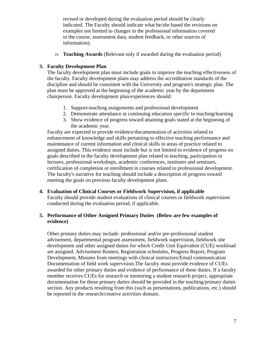revised or developed during the evaluation period should be clearly indicated. The Faculty should indicate what he/she based the revisions on examples not limited to changes in the professional information covered in the course, assessment data, student feedback, or other sources of information).

iv **Teaching Awards** (Relevant only if awarded during the evaluation period)

#### **3. Faculty Development Plan**

The faculty development plan must include goals to improve the teaching effectiveness of the faculty. Faculty development plans may address the accreditation standards of the discipline and should be consistent with the University and program's strategic plan. The plan must be approved at the beginning of the academic year by the department chairperson. Faculty development plan/experiences should:

- 1. Support-teaching assignments and professional development
- 2. Demonstrate attendance at continuing education specific to teaching/learning
- 3. Show evidence of progress toward attaining goals stated at the beginning of the academic year.

Faculty are expected to provide evidence/documentation of activities related to enhancement of knowledge and skills pertaining to effective teaching performance and maintenance of current information and clinical skills in areas of practice related to assigned duties. This evidence must include but is not limited to evidence of progress on goals described in the faculty development plan related to teaching, participation in lectures, professional workshops, academic conferences, institutes and seminars, certification of completion or enrollment in courses related to professional development. The faculty's narrative for teaching should include a description of progress toward meeting the goals on previous faculty development plans.

**4. Evaluation of Clinical Courses or Fieldwork Supervision, if applicable**  Faculty should provide student evaluations of clinical courses or fieldwork supervision conducted during the evaluation period, if applicable.

#### **5. Performance of Other Assigned Primary Duties (Below are few examples of evidence)**

Other primary duties may include: professional and/or pre-professional student advisement, departmental program assessment, fieldwork supervision, fieldwork site development and other assigned duties for which Credit Unit Equivalent (CUE) workload are assigned. Advisement Rosters, Registration schedules, Progress Report, Program Development, Minutes from meetings with clinical instructors/Email communication Documentation of field work supervision.The faculty must provide evidence of CUEs awarded for other primary duties and evidence of performance of these duties. If a faculty member receives CUEs for research or mentoring a student research project, appropriate documentation for these primary duties should be provided in the teaching/primary duties section. Any products resulting from this (such as presentations, publications, etc.) should be reported in the research/creative activities domain.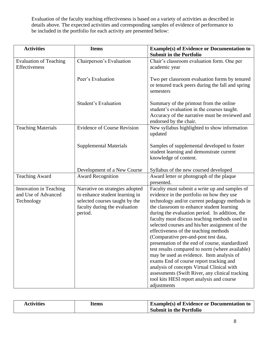Evaluation of the faculty teaching effectiveness is based on a variety of activities as described in details above. The expected activities and corresponding samples of evidence of performance to be included in the portfolio for each activity are presented below:

| <b>Activities</b>                                           | <b>Items</b>                                                                                                                                    | <b>Example(s) of Evidence or Documentation to</b><br><b>Submit in the Portfolio</b>                                                                                                                                                                                                                                                                                                                                                                                                                                                                                                                                                                                                                                                                                                       |
|-------------------------------------------------------------|-------------------------------------------------------------------------------------------------------------------------------------------------|-------------------------------------------------------------------------------------------------------------------------------------------------------------------------------------------------------------------------------------------------------------------------------------------------------------------------------------------------------------------------------------------------------------------------------------------------------------------------------------------------------------------------------------------------------------------------------------------------------------------------------------------------------------------------------------------------------------------------------------------------------------------------------------------|
| <b>Evaluation of Teaching</b><br>Effectiveness              | Chairperson's Evaluation                                                                                                                        | Chair's classroom evaluation form. One per<br>academic year                                                                                                                                                                                                                                                                                                                                                                                                                                                                                                                                                                                                                                                                                                                               |
|                                                             | Peer's Evaluation                                                                                                                               | Two per classroom evaluation forms by tenured<br>or tenured track peers during the fall and spring<br>semesters                                                                                                                                                                                                                                                                                                                                                                                                                                                                                                                                                                                                                                                                           |
|                                                             | <b>Student's Evaluation</b>                                                                                                                     | Summary of the printout from the online<br>student's evaluation in the courses taught.<br>Accuracy of the narrative must be reviewed and<br>endorsed by the chair.                                                                                                                                                                                                                                                                                                                                                                                                                                                                                                                                                                                                                        |
| <b>Teaching Materials</b>                                   | <b>Evidence of Course Revision</b>                                                                                                              | New syllabus highlighted to show information<br>updated                                                                                                                                                                                                                                                                                                                                                                                                                                                                                                                                                                                                                                                                                                                                   |
|                                                             | <b>Supplemental Materials</b>                                                                                                                   | Samples of supplemental developed to foster<br>student learning and demonstrate current<br>knowledge of content.                                                                                                                                                                                                                                                                                                                                                                                                                                                                                                                                                                                                                                                                          |
|                                                             | Development of a New Course                                                                                                                     | Syllabus of the new coursed developed                                                                                                                                                                                                                                                                                                                                                                                                                                                                                                                                                                                                                                                                                                                                                     |
| <b>Teaching Award</b>                                       | <b>Award Recognition</b>                                                                                                                        | Award letter or photograph of the plaque<br>presented.                                                                                                                                                                                                                                                                                                                                                                                                                                                                                                                                                                                                                                                                                                                                    |
| Innovation in Teaching<br>and Use of Advanced<br>Technology | Narrative on strategies adopted<br>to enhance student learning in<br>selected courses taught by the<br>faculty during the evaluation<br>period. | Faculty must submit a write up and samples of<br>evidence in the portfolio on how they use<br>technology and/or current pedagogy methods in<br>the classroom to enhance student learning<br>during the evaluation period. In addition, the<br>faculty must discuss teaching methods used in<br>selected courses and his/her assignment of the<br>effectiveness of the teaching methods<br>(Comparative pre-and-post test data,<br>presentation of the end of course, standardized<br>test results compared to norm (where available)<br>may be used as evidence. Item analysis of<br>exams End of course report tracking and<br>analysis of concepts Virtual Clinical with<br>assessments (Swift River, any clinical tracking<br>tool kits HESI report analysis and course<br>adjustments |

| <b>Activities</b> | ⊥tems | <b>Example(s) of Evidence or Documentation to</b><br><sup>1</sup> Submit in the Portfolio |
|-------------------|-------|-------------------------------------------------------------------------------------------|
|                   |       |                                                                                           |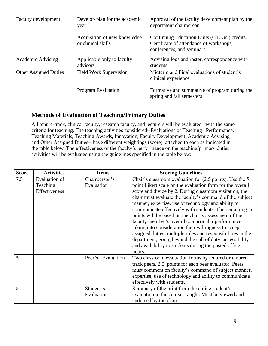| Faculty development          | Develop plan for the academic<br>year              | Approval of the faculty development plan by the<br>department chairperson                                              |
|------------------------------|----------------------------------------------------|------------------------------------------------------------------------------------------------------------------------|
|                              | Acquisition of new knowledge<br>or clinical skills | Continuing Education Units (C.E.Us.) credits,<br>Certificate of attendance of workshops,<br>conferences, and seminars. |
| Academic Advising            | Applicable only to faculty<br>advisors             | Advising logs and roster, correspondence with<br>students                                                              |
| <b>Other Assigned Duties</b> | <b>Field Work Supervision</b>                      | Midterm and Final evaluations of student's<br>clinical experience                                                      |
|                              | <b>Program Evaluation</b>                          | Formative and summative of program during the<br>spring and fall semesters                                             |

## **Methods of Evaluation of Teaching/Primary Duties**

All tenure-track, clinical faculty, research faculty, and lecturers will be evaluated with the same criteria for teaching. The teaching activities considered--Evaluations of Teaching Performance, Teaching Materials, Teaching Awards, Innovation, Faculty Development, Academic Advising and Other Assigned Duties-- have different weightings (score) attached to each as indicated in the table below. The effectiveness of the faculty's performance on the teaching/primary duties activities will be evaluated using the guidelines specified in the table below:

| <b>Score</b> | <b>Activities</b>                                        | <b>Items</b>                | <b>Scoring Guidelines</b>                                                                                                                                                                                                                                                                                                                                                                                                                                                                                                                                                                                                                                                                                                            |
|--------------|----------------------------------------------------------|-----------------------------|--------------------------------------------------------------------------------------------------------------------------------------------------------------------------------------------------------------------------------------------------------------------------------------------------------------------------------------------------------------------------------------------------------------------------------------------------------------------------------------------------------------------------------------------------------------------------------------------------------------------------------------------------------------------------------------------------------------------------------------|
| 7.5          | <b>Evaluation of</b><br>Teaching<br><b>Effectiveness</b> | Chairperson's<br>Evaluation | Chair's classroom evaluation for (2.5 points). Use the 5<br>point Likert scale on the evaluation form for the overall<br>score and divide by 2. During classroom visitation, the<br>chair must evaluate the faculty's command of the subject<br>manner, expertise, use of technology and ability to<br>communicate effectively with students. The remaining .5<br>points will be based on the chair's assessment of the<br>faculty member's overall co-curricular performance<br>taking into consideration their willingness to accept<br>assigned duties, multiple roles and responsibilities in the<br>department, going beyond the call of duty, accessibility<br>and availability to students during the posted office<br>hours. |
| 5            |                                                          | Peer's Evaluation           | Two classroom evaluation forms by tenured or tenured<br>track peers. 2.5. points for each peer evaluator. Peers<br>must comment on faculty's command of subject manner,<br>expertise, use of technology and ability to communicate<br>effectively with students.                                                                                                                                                                                                                                                                                                                                                                                                                                                                     |
| 5            |                                                          | Student's<br>Evaluation     | Summary of the print from the online student's<br>evaluation in the courses taught. Must be viewed and<br>endorsed by the chair.                                                                                                                                                                                                                                                                                                                                                                                                                                                                                                                                                                                                     |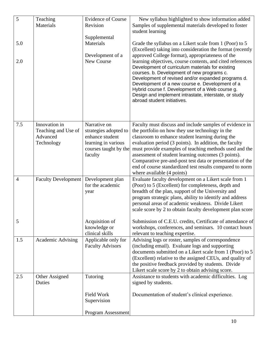| 5<br>5.0       | Teaching<br>Materials                                          | <b>Evidence of Course</b><br>Revision<br>Supplemental<br>Materials                                                  | New syllabus highlighted to show information added<br>Samples of supplemental materials developed to foster<br>student learning<br>Grade the syllabus on a Likert scale from 1 (Poor) to 5                                                                                                                                                                                                                                                                                                                                         |
|----------------|----------------------------------------------------------------|---------------------------------------------------------------------------------------------------------------------|------------------------------------------------------------------------------------------------------------------------------------------------------------------------------------------------------------------------------------------------------------------------------------------------------------------------------------------------------------------------------------------------------------------------------------------------------------------------------------------------------------------------------------|
| 2.0            |                                                                | Development of a<br>New Course                                                                                      | (Excellent) taking into consideration the format (recently<br>approved College format), appropriateness of the<br>learning objectives, course contents, and cited references<br>Development of curriculum materials for existing<br>courses. b. Development of new programs c.<br>Development of revised and/or expanded programs d.<br>Development of a new course e. Development of a<br>Hybrid course f. Development of a Web course g.<br>Design and implement intrastate, interstate, or study<br>abroad student initiatives. |
| 7.5            | Innovation in<br>Teaching and Use of<br>Advanced<br>Technology | Narrative on<br>strategies adopted to<br>enhance student<br>learning in various<br>courses taught by the<br>faculty | Faculty must discuss and include samples of evidence in<br>the portfolio on how they use technology in the<br>classroom to enhance student learning during the<br>evaluation period (3 points). In addition, the faculty<br>must provide examples of teaching methods used and the<br>assessment of student learning outcomes (3 points).<br>Comparative pre-and-post test data or presentation of the<br>end of course standardized test results compared to norm<br>where available (4 points)                                   |
| $\overline{4}$ | <b>Faculty Development</b>                                     | Development plan<br>for the academic<br>year                                                                        | Evaluate faculty development on a Likert scale from 1<br>(Poor) to 5 (Excellent) for completeness, depth and<br>breadth of the plan, support of the University and<br>program strategic plans, ability to identify and address<br>personal areas of academic weakness. Divide Likert<br>scale score by 2 to obtain faculty development plan score                                                                                                                                                                                  |
| 5              |                                                                | Acquisition of<br>knowledge or<br>clinical skills                                                                   | Submission of C.E.U. credits, Certificate of attendance of<br>workshops, conferences, and seminars. 10 contact hours<br>relevant to teaching expertise.                                                                                                                                                                                                                                                                                                                                                                            |
| 1.5            | Academic Advising                                              | Applicable only for<br><b>Faculty Advisors</b>                                                                      | Advising logs or roster, samples of correspondence<br>(including email). Evaluate logs and supporting<br>documents submitted on a Likert scale from 1 (Poor) to 5<br>(Excellent) relative to the assigned CEUs, and quality of<br>the positive feedback provided by students. Divide<br>Likert scale score by 2 to obtain advising score.                                                                                                                                                                                          |
| 2.5            | Other Assigned<br>Duties                                       | Tutoring                                                                                                            | Assistance to students with academic difficulties. Log<br>signed by students.                                                                                                                                                                                                                                                                                                                                                                                                                                                      |
|                |                                                                | Field Work<br>Supervision                                                                                           | Documentation of student's clinical experience.                                                                                                                                                                                                                                                                                                                                                                                                                                                                                    |
|                |                                                                | Program Assessment                                                                                                  |                                                                                                                                                                                                                                                                                                                                                                                                                                                                                                                                    |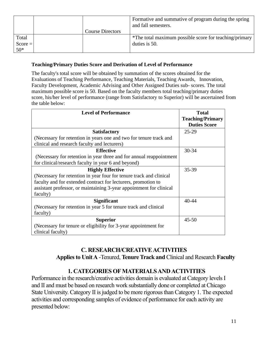|           |                         | Formative and summative of program during the spring<br>and fall semesters. |
|-----------|-------------------------|-----------------------------------------------------------------------------|
|           | <b>Course Directors</b> |                                                                             |
| Total     |                         | *The total maximum possible score for teaching/primary                      |
| $Score =$ |                         | duties is 50.                                                               |
| $50*$     |                         |                                                                             |

### **Teaching/Primary Duties Score and Derivation of Level of Performance**

The faculty's total score will be obtained by summation of the scores obtained for the Evaluations of Teaching Performance, Teaching Materials, Teaching Awards, Innovation, Faculty Development, Academic Advising and Other Assigned Duties sub- scores. The total maximum possible score is 50. Based on the faculty members total teaching/primary duties score, his/her level of performance (range from Satisfactory to Superior) will be ascertained from the table below:

| <b>Level of Performance</b>                                         | <b>Total</b>            |
|---------------------------------------------------------------------|-------------------------|
|                                                                     | <b>Teaching/Primary</b> |
|                                                                     | <b>Duties Score</b>     |
| <b>Satisfactory</b>                                                 | 25-29                   |
| (Necessary for retention in years one and two for tenure track and  |                         |
| clinical and research faculty and lecturers)                        |                         |
| <b>Effective</b>                                                    | 30-34                   |
| (Necessary for retention in year three and for annual reappointment |                         |
| for clinical/research faculty in year 6 and beyond)                 |                         |
| <b>Highly Effective</b>                                             | 35-39                   |
| (Necessary for retention in year four for tenure track and clinical |                         |
| faculty and for extended contract for lecturers, promotion to       |                         |
| assistant professor, or maintaining 3-year appointment for clinical |                         |
| faculty)                                                            |                         |
| <b>Significant</b>                                                  | $40 - 44$               |
| (Necessary for retention in year 5 for tenure track and clinical    |                         |
| faculty)                                                            |                         |
| <b>Superior</b>                                                     | $45 - 50$               |
| (Necessary for tenure or eligibility for 3-year appointment for     |                         |
| clinical faculty)                                                   |                         |

## **C. RESEARCH/CREATIVE ACTIVITIES**

 **Applies to Unit A** -Tenured, **Tenure Track and** Clinical and Research **Faculty**

## **1. CATEGORIES OF MATERIALS AND ACTIVITIES**

Performance in the research/creative activities domain is evaluated at Category levels I and II and must be based on research work substantially done or completed at Chicago State University. Category II is judged to be more rigorous than Category 1. The expected activities and corresponding samples of evidence of performance for each activity are presented below: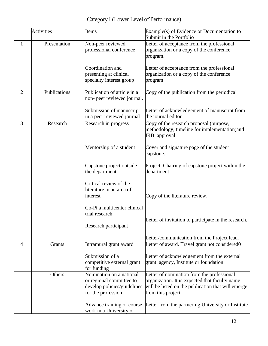Category I (Lower Level of Performance)

|                | <b>Activities</b> | Items                                                                                                      | Example(s) of Evidence or Documentation to<br>Submit in the Portfolio                                                                                                    |
|----------------|-------------------|------------------------------------------------------------------------------------------------------------|--------------------------------------------------------------------------------------------------------------------------------------------------------------------------|
| 1              | Presentation      | Non-peer reviewed<br>professional conference                                                               | Letter of acceptance from the professional<br>organization or a copy of the conference<br>program.                                                                       |
|                |                   | Coordination and<br>presenting at clinical<br>specialty interest group                                     | Letter of acceptance from the professional<br>organization or a copy of the conference<br>program                                                                        |
| $\overline{2}$ | Publications      | Publication of article in a<br>non- peer reviewed journal.                                                 | Copy of the publication from the periodical                                                                                                                              |
|                |                   | Submission of manuscript<br>in a peer reviewed journal                                                     | Letter of acknowledgement of manuscript from<br>the journal editor                                                                                                       |
| 3              | Research          | Research in progress                                                                                       | Copy of the research proposal (purpose,<br>methodology, timeline for implementation) and<br><b>IRB</b> approval                                                          |
|                |                   | Mentorship of a student                                                                                    | Cover and signature page of the student<br>capstone.                                                                                                                     |
|                |                   | Capstone project outside<br>the department                                                                 | Project. Chairing of capstone project within the<br>department                                                                                                           |
|                |                   | Critical review of the<br>literature in an area of<br>interest                                             | Copy of the literature review.                                                                                                                                           |
|                |                   | Co-Pi a multicenter clinical<br>trial research.<br>Research participant                                    | Letter of invitation to participate in the research.                                                                                                                     |
|                |                   |                                                                                                            | Letter/communication from the Project lead.                                                                                                                              |
| 4              | Grants            | Intramural grant award                                                                                     | Letter of award. Travel grant not considered0                                                                                                                            |
|                |                   | Submission of a<br>competitive external grant<br>for funding                                               | Letter of acknowledgement from the external<br>grant agency, Institute or foundation                                                                                     |
|                | Others            | Nomination on a national<br>or regional committee to<br>develop policies/guidelines<br>for the profession. | Letter of nomination from the professional<br>organization. It is expected that faculty name<br>will be listed on the publication that will emerge<br>from this project. |
|                |                   | Advance training or course<br>work in a University or                                                      | Letter from the partnering University or Institute                                                                                                                       |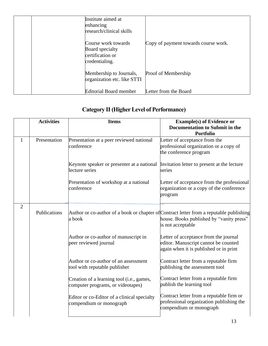| Institute aimed at<br>enhancing<br>research/clinical skills                  |                                      |
|------------------------------------------------------------------------------|--------------------------------------|
| Course work towards<br>Board specialty<br>certification or<br>credentialing. | Copy of payment towards course work. |
| Membership to Journals,<br>organization etc. like STTI                       | Proof of Membership                  |
| <b>Editorial Board member</b>                                                | Letter from the Board                |

## **Category II (Higher Level of Performance)**

|                | <b>Activities</b> | <b>Items</b>                                                                                      | <b>Example(s) of Evidence or</b><br><b>Documentation to Submit in the</b><br><b>Portfolio</b>                           |
|----------------|-------------------|---------------------------------------------------------------------------------------------------|-------------------------------------------------------------------------------------------------------------------------|
| $\mathbf{1}$   | Presentation      | Presentation at a peer reviewed national<br>conference                                            | Letter of acceptance from the<br>professional organization or a copy of<br>the conference program                       |
|                |                   | Keynote speaker or presenter at a national<br>lecture series                                      | Invitation letter to present at the lecture<br>series                                                                   |
|                |                   | Presentation of workshop at a national<br>conference                                              | Letter of acceptance from the professional<br>organization or a copy of the conference<br>program                       |
| $\overline{2}$ | Publications      | Author or co-author of a book or chapter of Contract letter from a reputable publishing<br>a book | house. Books published by "vanity press"<br>is not acceptable                                                           |
|                |                   | Author or co-author of manuscript in<br>peer reviewed journal                                     | Letter of acceptance from the journal<br>editor. Manuscript cannot be counted<br>again when it is published or in print |
|                |                   | Author or co-author of an assessment<br>tool with reputable publisher                             | Contract letter from a reputable firm<br>publishing the assessment tool                                                 |
|                |                   | Creation of a learning tool (i.e., games,<br>computer programs, or videotapes)                    | Contract letter from a reputable firm<br>publish the learning tool                                                      |
|                |                   | Editor or co-Editor of a clinical specialty<br>compendium or monograph                            | Contract letter from a reputable firm or<br>professional organization publishing the<br>compendium or monograph         |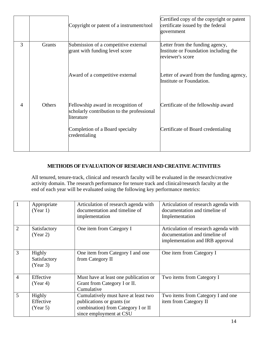|   |                                                                                  | Copyright or patent of a instrument/tool                                                       | Certified copy of the copyright or patent<br>certificate issued by the federal<br>government |
|---|----------------------------------------------------------------------------------|------------------------------------------------------------------------------------------------|----------------------------------------------------------------------------------------------|
| 3 | Submission of a competitive external<br>Grants<br>grant with funding level score |                                                                                                | Letter from the funding agency,<br>Institute or Foundation including the<br>reviewer's score |
|   |                                                                                  | Award of a competitive external                                                                | Letter of award from the funding agency,<br>Institute or Foundation.                         |
| 4 | Others                                                                           | Fellowship award in recognition of<br>scholarly contribution to the professional<br>literature | Certificate of the fellowship award                                                          |
|   |                                                                                  | Completion of a Board specialty<br>credentialing                                               | Certificate of Board credentialing                                                           |

## **METHODS OF EVALUATION OF RESEARCH AND CREATIVE ACTIVITIES**

All tenured, tenure-track, clinical and research faculty will be evaluated in the research/creative activity domain. The research performance for tenure track and clinical/research faculty at the end of each year will be evaluated using the following key performance metrics:

| $\mathbf{1}$   | Appropriate<br>(Year 1)            | Articulation of research agenda with<br>documentation and timeline of<br>implementation                                            | Articulation of research agenda with<br>documentation and timeline of<br>Implementation                  |
|----------------|------------------------------------|------------------------------------------------------------------------------------------------------------------------------------|----------------------------------------------------------------------------------------------------------|
| $\overline{2}$ | Satisfactory<br>(Year 2)           | One item from Category I                                                                                                           | Articulation of research agenda with<br>documentation and timeline of<br>implementation and IRB approval |
| 3              | Highly<br>Satisfactory<br>(Year 3) | One item from Category I and one<br>from Category II                                                                               | One item from Category I                                                                                 |
| $\overline{4}$ | Effective<br>(Year 4)              | Must have at least one publication or<br>Grant from Category I or II.<br>Cumulative                                                | Two items from Category I                                                                                |
| 5              | Highly<br>Effective<br>(Year 5)    | Cumulatively must have at least two<br>publications or grants (or<br>combination) from Category I or II<br>since employment at CSU | Two items from Category I and one<br>item from Category II                                               |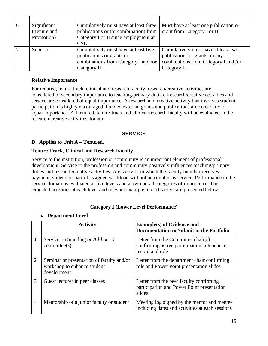| Significant | Cumulatively must have at least three | Must have at least one publication or |
|-------------|---------------------------------------|---------------------------------------|
| (Tenure and | publications or (or combination) from | grant from Category I or II           |
| Promotion)  | Category I or II since employment at  |                                       |
|             | <b>CSU</b>                            |                                       |
| Superior    | Cumulatively must have at least five  | Cumulatively must have at least two   |
|             | publications or grants or             | publications or grants in any         |
|             | combinations from Category I and /or  | combinations from Category I and /or  |
|             | Category II.                          | Category II.                          |

#### **Relative Importance**

For tenured, tenure track, clinical and research faculty, research/creative activities are considered of secondary importance to teaching/primary duties. Research/creative activities and service are considered of equal importance. A research and creative activity that involves student participation is highly encouraged. Funded external grants and publications are considered of equal importance. All tenured, tenure-track and clinical/research faculty will be evaluated in the research/creative activities domain.

#### **SERVICE**

### **D. Applies to Unit A – Tenured**,

#### **Tenure Track, Clinical and Research Faculty**

Service to the institution, profession or community is an important element of professional development. Service to the profession and community positively influences teaching/primary duties and research/creative activities. Any activity in which the faculty member receives payment, stipend or part of assigned workload will not be counted as service. Performance in the service domain is evaluated at five levels and at two broad categories of importance. The expected activities at each level and relevant example of each active are presented below

#### **Category I (Lower Level Performance)**

#### **a. Department Level**

|                | <b>Activity</b>                                                                         | <b>Example(s) of Evidence and</b><br>Documentation to Submit in the Portfolio                        |
|----------------|-----------------------------------------------------------------------------------------|------------------------------------------------------------------------------------------------------|
| 1              | Service on Standing or Ad-hoc K<br>committe(s)                                          | Letter from the Committee chair(s)<br>confirming active participation, attendance<br>record and role |
| 2              | Seminar or presentation of faculty and/or<br>workshop to enhance student<br>development | Letter from the department chair confirming<br>role and Power Point presentation slides              |
| 3              | Guest lecturer in peer classes                                                          | Letter from the peer faculty confirming<br>participation and Power Point presentation<br>slides      |
| $\overline{4}$ | Mentorship of a junior faculty or student                                               | Meeting log signed by the mentor and mentee<br>including dates and activities at each sessions       |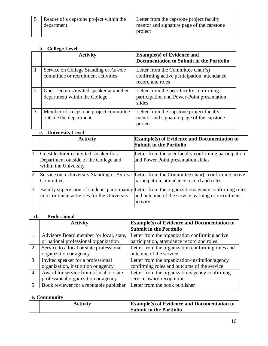| Reader of a capstone project within the<br>Letter from the capstone project faculty<br>mentor and signature page of the capstone<br>department<br>project |  |
|-----------------------------------------------------------------------------------------------------------------------------------------------------------|--|
|-----------------------------------------------------------------------------------------------------------------------------------------------------------|--|

#### **b. College Level**

|                | <b>Activity</b>                                                                                           | <b>Example(s) of Evidence and</b><br>Documentation to Submit in the Portfolio                                                                                        |
|----------------|-----------------------------------------------------------------------------------------------------------|----------------------------------------------------------------------------------------------------------------------------------------------------------------------|
| $\mathbf{1}$   | Service on College Standing or Ad-hoc<br>committee or recruitment activities                              | Letter from the Committee chair(s)<br>confirming active participation, attendance<br>record and roles                                                                |
| $\overline{2}$ | Guest lecturer/invited speaker at another<br>department within the College                                | Letter from the peer faculty confirming<br>participation and Power-Point presentation<br>slides                                                                      |
| 3              | Member of a capstone project committee<br>outside the department                                          | Letter from the capstone project faculty<br>mentor and signature page of the capstone<br>project                                                                     |
|                | <b>University Level</b><br>$c_{\bullet}$                                                                  |                                                                                                                                                                      |
|                | <b>Activity</b>                                                                                           | <b>Example(s) of Evidence and Documentation to</b><br><b>Submit in the Portfolio</b>                                                                                 |
| $\mathbf{1}$   | Guest lecturer or invited speaker for a<br>Department outside of the College and<br>within the University | Letter from the peer faculty confirming participation<br>and Power Point presentation slides                                                                         |
| $\overline{2}$ | Committee                                                                                                 | Service on a University Standing or <i>Ad-hoc</i> Letter from the Committee chair(s confirming active<br>participation, attendance record and roles                  |
| 3              | in recruitment activities for the University                                                              | Faculty supervision of students participating Letter from the organization/agency confirming roles<br>and outcome of the service learning or recruitment<br>activity |

#### **d. Professional**

|                | <b>Activity</b>                          | <b>Example(s) of Evidence and Documentation to</b><br><b>Submit in the Portfolio</b> |
|----------------|------------------------------------------|--------------------------------------------------------------------------------------|
| 1.             | Advisory Board member for local, state,  | Letter from the organization confirming active                                       |
|                | or national professional organization    | participation, attendance record and roles                                           |
| 2.             | Service to a local or state professional | Letter from the organization confirming roles and                                    |
|                | organization or agency                   | outcome of the service                                                               |
| $\overline{3}$ | Invited speaker for a professional       | Letter from the organization/institution/agency                                      |
|                | organization, institution or agency      | confirming roles and outcome of the service                                          |
| $\overline{4}$ | Award for service from a local or state  | Letter from the organization/agency confirming                                       |
|                | professional organization or agency      | service award recognition                                                            |
|                | Book reviewer for a reputable publisher  | Letter from the book publisher                                                       |

## **e. Community**

|  | <b>Activity</b> | <b>Example(s) of Evidence and Documentation to</b> |
|--|-----------------|----------------------------------------------------|
|  |                 | <b>Submit in the Portfolio</b>                     |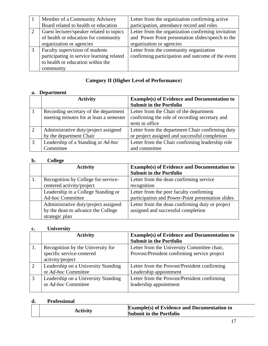|   | Member of a Community Advisory            | Letter from the organization confirming active     |
|---|-------------------------------------------|----------------------------------------------------|
|   | Board related to health or education      | participation, attendance record and roles         |
|   | Guest lecturer/speaker related to topics  | Letter from the organization confirming invitation |
|   | of health or education for community      | and Power Point presentation slides/speech to the  |
|   | organization or agencies                  | organization or agencies                           |
| 3 | Faculty supervision of students           | Letter from the community organization             |
|   | participating in service learning related | confirming participation and outcome of the event  |
|   | to health or education within the         |                                                    |
|   | community                                 |                                                    |

## **Category II (Higher Level of Performance**)

## **a. Department**

|                | <b>Activity</b>                         | <b>Example(s) of Evidence and Documentation to</b> |
|----------------|-----------------------------------------|----------------------------------------------------|
|                |                                         | <b>Submit in the Portfolio</b>                     |
|                | Recording secretary of the department   | Letter from the Chair of the department            |
|                | meeting minutes for at least a semester | confirming the role of recording secretary and     |
|                |                                         | term in office                                     |
| $\overline{2}$ | Administrative duty/project assigned    | Letter from the department Chair confirming duty   |
|                | by the department Chair                 | or project assigned and successful completion      |
| 3              | Leadership of a Standing or Ad-hoc      | Letter from the Chair confirming leadership role   |
|                | Committee                               | and committee                                      |

## **b. College**

| <b>Activity</b>                                                                              | <b>Example(s) of Evidence and Documentation to</b><br><b>Submit in the Portfolio</b>         |
|----------------------------------------------------------------------------------------------|----------------------------------------------------------------------------------------------|
| Recognition by College for service-<br>centered activity/project                             | Letter from the dean confirming service<br>recognition                                       |
| Leadership in a College Standing or<br><b>Ad-hoc Committee</b>                               | Letter from the peer faculty confirming<br>participation and Power-Point presentation slides |
| Administrative duty/project assigned<br>by the dean to advance the College<br>strategic plan | Letter from the dean confirming duty or project<br>assigned and successful completion        |

## **c. University**

|    | <b>Activity</b>                                            | <b>Example(s) of Evidence and Documentation to</b><br><b>Submit in the Portfolio</b> |
|----|------------------------------------------------------------|--------------------------------------------------------------------------------------|
| 1. | Recognition by the University for                          | Letter from the University Committee chair,                                          |
|    | specific service-centered<br>activity/project              | Provost/President confirming service project                                         |
| 2  | Leadership on a University Standing<br>or Ad-hoc Committee | Letter from the Provost/President confirming<br>Leadership appointment               |
| 3  | Leadership on a University Standing<br>or Ad-hoc Committee | Letter from the Provost/President confirming<br>leadership appointment               |

## **d. Professional**

|  | <b>Activity</b> | <b>Example(s) of Evidence and Documentation to</b><br><b>Submit in the Portfolio</b> |
|--|-----------------|--------------------------------------------------------------------------------------|
|--|-----------------|--------------------------------------------------------------------------------------|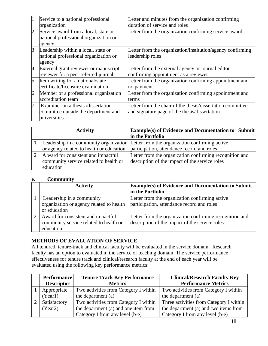| 1              | Service to a national professional<br>organization                                         | Letter and minutes from the organization confirming<br>duration of service and roles                        |
|----------------|--------------------------------------------------------------------------------------------|-------------------------------------------------------------------------------------------------------------|
| $\overline{2}$ | Service award from a local, state or<br>national professional organization or<br>agency    | Letter from the organization confirming service award                                                       |
| $\beta$        | Leadership within a local, state or<br>national professional organization or<br>agency     | Letter from the organization/institution/agency confirming<br>leadership roles                              |
| $\overline{A}$ | External grant reviewer or manuscript<br>reviewer for a peer referred journal              | Letter from the external agency or journal editor<br>confirming appointment as a reviewer                   |
| 5              | Item writing for a national/state<br>certificate/licensure examination                     | Letter from the organization confirming appointment and<br>no payment                                       |
| 6              | Member of a professional organization<br>accreditation team                                | Letter from the organization confirming appointment and<br>terms                                            |
| 7              | Examiner on a thesis /dissertation<br>committee outside the department and<br>universities | Letter from the chair of the thesis/dissertation committee<br>and signature page of the thesis/dissertation |

| <b>Example(s) of Evidence and Documentation to Submit</b><br><b>Activity</b> |                                                                                       |  |
|------------------------------------------------------------------------------|---------------------------------------------------------------------------------------|--|
|                                                                              | in the Portfolio                                                                      |  |
|                                                                              | Leadership in a community organization Letter from the organization confirming active |  |
| or agency related to health or education                                     | participation, attendance record and roles                                            |  |
| A ward for consistent and impactful                                          | Letter from the organization confirming recognition and                               |  |
| community service related to health or                                       | description of the impact of the service roles                                        |  |
| education                                                                    |                                                                                       |  |

#### **e. Community**

| <b>Activity</b>                          | <b>Example(s) of Evidence and Documentation to Submit</b><br>in the Portfolio |  |
|------------------------------------------|-------------------------------------------------------------------------------|--|
|                                          |                                                                               |  |
| Leadership in a community                | Letter from the organization confirming active                                |  |
| organization or agency related to health | participation, attendance record and roles                                    |  |
| or education                             |                                                                               |  |
| Award for consistent and impactful       | Letter from the organization confirming recognition and                       |  |
| community service related to health or   | description of the impact of the service roles                                |  |
| education                                |                                                                               |  |

## **METHODS OF EVALUATION OF SERVICE**

All tenured, tenure-track and clinical faculty will be evaluated in the service domain. Research faculty has an option to evaluated in the service or teaching domain. The service performance effectiveness for tenure track and clinical/research faculty at the end of each year will be evaluated using the following key performance metrics:

| <b>Performance</b> | <b>Tenure Track Key Performance</b>   | <b>Clinical/Research Faculty Key</b>    |
|--------------------|---------------------------------------|-----------------------------------------|
| <b>Descriptor</b>  | <b>Metrics</b>                        | <b>Performance Metrics</b>              |
| Appropriate        | Two activities from Category I within | Two activities from Category I within   |
| (Year1)            | the department (a)                    | the department (a)                      |
| Satisfactory       | Two activities from Category I within | Three activities from Category I within |
| (Year2)            | the department (a) and one item from  | the department (a) and two items from   |
|                    | Category I from any level (b-e)       | Category I from any level (b-e)         |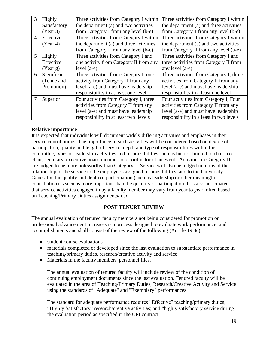| 3              | Highly       | Three activities from Category I within | Three activities from Category I within |
|----------------|--------------|-----------------------------------------|-----------------------------------------|
|                | Satisfactory | the department (a) and two activities   | the department (a) and three activities |
|                | (Year 3)     | from Category I from any level (b-e)    | from Category 1 from any level (b-e)    |
| $\overline{4}$ | Effective    | Three activities from Category I within | Three activities from Category I within |
|                | (Year 4)     | the department (a) and three activities | the department (a) and two activities   |
|                |              | from Category I from any level (b-e)    | from Category II from any level (a-e)   |
| 5              | Highly       | Three activities from Category I and    | Three activities from Category I and    |
|                | Effective    | one activity from Category II from any  | three activities from Category II from  |
|                | (Year g)     | level $(a-e)$                           | any level $(a-e)$                       |
| 6              | Significant  | Three activities from Category I, one   | Three activities from Category I, three |
|                | (Tenue and   | activity from Category II from any      | activities from Category II from any    |
|                | Promotion)   | level (a-e) and must have leadership    | level (a-e) and must have leadership    |
|                |              | responsibility in at least one level    | responsibility in a least one level     |
|                | Superior     | Four activities from Category I, three  | Four activities from Category I, Four   |
|                |              | activities from Category II from any    | activities from Category II from any    |
|                |              | level (a-e) and must have leadership    | level (a-e) and must have leadership    |
|                |              | responsibility in at least two levels   | responsibility in a least in two levels |

#### **Relative importance**

It is expected that individuals will document widely differing activities and emphases in their service contributions. The importance of such activities will be considered based on degree of participation, quality and length of service, depth and type of responsibilities within the committee, types of leadership activities and responsibilities such as but not limited to chair, cochair, secretary, executive board member, or coordinator of an event. Activities in Category II are judged to be more noteworthy than Category 1. Service will also be judged in terms of the relationship of the service to the employee's assigned responsibilities, and to the University. Generally, the quality and depth of participation (such as leadership or other meaningful contribution) is seen as more important than the quantity of participation. It is also anticipated that service activities engaged in by a faculty member may vary from year to year, often based on Teaching/Primary Duties assignments/load.

## **POST TENURE REVIEW**

The annual evaluation of tenured faculty members not being considered for promotion or professional advancement increases is a process designed to evaluate work performance and accomplishments and shall consist of the review of the following (Article 19.4c):

- student course evaluations
- materials completed or developed since the last evaluation to substantiate performance in teaching/primary duties, research/creative activity and service
- Materials in the faculty members' personnel files.

The annual evaluation of tenured faculty will include review of the condition of continuing employment documents since the last evaluation. Tenured faculty will be evaluated in the area of Teaching/Primary Duties, Research/Creative Activity and Service using the standards of "Adequate" and "Exemplary" performances

The standard for adequate performance requires "Effective" teaching/primary duties; "Highly Satisfactory" research/creative activities; and "highly satisfactory service during the evaluation period as specified in the UPI contract.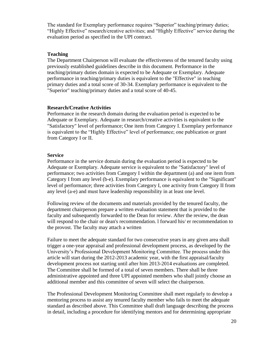The standard for Exemplary performance requires "Superior" teaching/primary duties; "Highly Effective" research/creative activities; and "Highly Effective" service during the evaluation period as specified in the UPI contract.

#### **Teaching**

The Department Chairperson will evaluate the effectiveness of the tenured faculty using previously established guidelines describe in this document. Performance in the teaching/primary duties domain is expected to be Adequate or Exemplary. Adequate performance in teaching/primary duties is equivalent to the "Effective" in teaching primary duties and a total score of 30-34. Exemplary performance is equivalent to the "Superior" teaching/primary duties and a total score of 40-45.

#### **Research/Creative Activities**

Performance in the research domain during the evaluation period is expected to be Adequate or Exemplary. Adequate in research/creative activities is equivalent to the "Satisfactory" level of performance; One item from Category I. Exemplary performance is equivalent to the "Highly Effective" level of performance; one publication or grant from Category I or II.

#### **Service**

Performance in the service domain during the evaluation period is expected to be Adequate or Exemplary. Adequate service is equivalent to the "Satisfactory" level of performance; two activities from Category I within the department (a) and one item from Category I from any level (b-e). Exemplary performance is equivalent to the "Significant" level of performance; three activities from Category I, one activity from Category II from any level (a-e) and must have leadership responsibility in at least one level.

Following review of the documents and materials provided by the tenured faculty, the department chairperson prepare a written evaluation statement that is provided to the faculty and subsequently forwarded to the Dean for review. After the review, the dean will respond to the chair or dean's recommendation. l forward his/ er recommendation to the provost. The faculty may attach a written

Failure to meet the adequate standard for two consecutive years in any given area shall trigger a one-year appraisal and professional development process, as developed by the University's Professional Development Monitoring Committee. The process under this article will start during the 2012-2013 academic year, with the first appraisal/faculty development process not starting until after him 2013-2014 evaluations are completed. The Committee shall be formed of a total of seven members. There shall be three administrative appointed and three UPI appointed members who shall jointly choose an additional member and this committee of seven will select the chairperson.

The Professional Development Monitoring Committee shall meet regularly to develop a mentoring process to assist any tenured faculty member who fails to meet the adequate standard as described above. This Committee shall draft language describing the process in detail, including a procedure for identifying mentors and for determining appropriate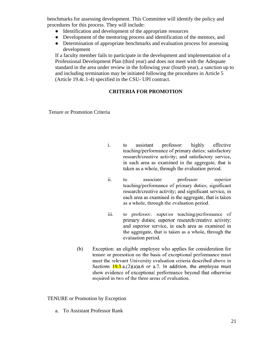benchmarks for assessing development. This Committee will identify the policy and procedures for this process. They will include:

- Identification and development of the appropriate resources
- Development of the mentoring process and identification of the mentors, and
- Determination of appropriate benchmarks and evaluation process for assessing development

If a faculty member fails to participate in the development and implementation of a Professional Development Plan (third year) and does not meet with the Adequate standard in the area under review in the following year (fourth year), a sanction up to and including termination may be initiated following the procedures in Article 5 (Article 19.4c.1-4) specified in the CSU- UPI contract.

### **CRITERIA FOR PROMOTION**

Tenure or Promotion Criteria

- i. assistant professor: highly effective to teaching/performance of primary duties; satisfactory research/creative activity; and satisfactory service, in each area as examined in the aggregate, that is taken as a whole, through the evaluation period.
- ii. to associate professor: superior teaching/performance of primary duties; significant research/creative activity; and significant service, in each area as examined in the aggregate, that is taken as a whole, through the evaluation period.
- to professor: superior teaching/performance of iii. primary duties; superior research/creative activity; and superior service, in each area as examined in the aggregate, that is taken as a whole, through the evaluation period.
- $(b)$ Exception: an eligible employee who applies for consideration for tenure or promotion on the basis of exceptional performance must meet the relevant University evaluation criteria described above in Sections  $19.3$  a.  $(2)(a)a.6$  or a.7. In addition, the employee must show evidence of exceptional performance beyond that otherwise required in two of the three areas of evaluation.

#### TENURE or Promotion by Exception

a. To Assistant Professor Rank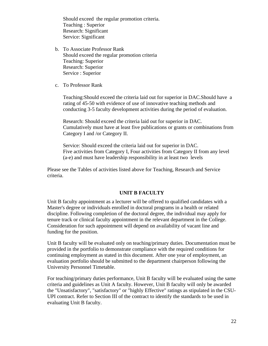Should exceed the regular promotion criteria. Teaching : Superior Research: Significant Service: Significant

- b. To Associate Professor Rank Should exceed the regular promotion criteria Teaching: Superior Research: Superior Service : Superior
- c. To Professor Rank

Teaching:Should exceed the criteria laid out for superior in DAC.Should have a rating of 45-50 with evidence of use of innovative teaching methods and conducting 3-5 faculty development activities during the period of evaluation.

Research: Should exceed the criteria laid out for superior in DAC. Cumulatively must have at least five publications or grants or combinations from Category I and /or Category II.

Service: Should exceed the criteria laid out for superior in DAC. Five activities from Category I, Four activities from Category II from any level (a-e) and must have leadership responsibility in at least two levels

Please see the Tables of activities listed above for Teaching, Research and Service criteria.

#### **UNIT B FACULTY**

Unit B faculty appointment as a lecturer will be offered to qualified candidates with a Master's degree or individuals enrolled in doctoral programs in a health or related discipline. Following completion of the doctoral degree, the individual may apply for tenure track or clinical faculty appointment in the relevant department in the College. Consideration for such appointment will depend on availability of vacant line and funding for the position.

Unit B faculty will be evaluated only on teaching/primary duties. Documentation must be provided in the portfolio to demonstrate compliance with the required conditions for continuing employment as stated in this document. After one year of employment, an evaluation portfolio should be submitted to the department chairperson following the University Personnel Timetable.

For teaching/primary duties performance, Unit B faculty will be evaluated using the same criteria and guidelines as Unit A faculty. However, Unit B faculty will only be awarded the "Unsatisfactory", "satisfactory" or "highly Effective" ratings as stipulated in the CSU-UPI contract. Refer to Section III of the contract to identify the standards to be used in evaluating Unit B faculty.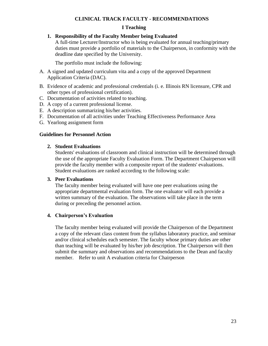#### **CLINICAL TRACK FACULTY - RECOMMENDATIONS**

#### **I Teaching**

#### **1. Responsibility of the Faculty Member being Evaluated**

A full-time Lecturer/Instructor who is being evaluated for annual teaching/primary duties must provide a portfolio of materials to the Chairperson, in conformity with the deadline date specified by the University.

The portfolio must include the following:

- A. A signed and updated curriculum vita and a copy of the approved Department Application Criteria (DAC).
- B. Evidence of academic and professional credentials (i. e. Illinois RN licensure, CPR and other types of professional certification).
- C. Documentation of activities related to teaching.
- D. A copy of a current professional license.
- E. A description summarizing his/her activities.
- F. Documentation of all activities under Teaching Effectiveness Performance Area
- G. Yearlong assignment form

#### **Guidelines for Personnel Action**

#### **2. Student Evaluations**

Students' evaluations of classroom and clinical instruction will be determined through the use of the appropriate Faculty Evaluation Form. The Department Chairperson will provide the faculty member with a composite report of the students' evaluations. Student evaluations are ranked according to the following scale:

#### **3. Peer Evaluations**

The faculty member being evaluated will have one peer evaluations using the appropriate departmental evaluation form. The one evaluator will each provide a written summary of the evaluation. The observations will take place in the term during or preceding the personnel action.

#### **4. Chairperson's Evaluation**

The faculty member being evaluated will provide the Chairperson of the Department a copy of the relevant class content from the syllabus laboratory practice, and seminar and/or clinical schedules each semester. The faculty whose primary duties are other than teaching will be evaluated by his/her job description. The Chairperson will then submit the summary and observations and recommendations to the Dean and faculty member. Refer to unit A evaluation criteria for Chairperson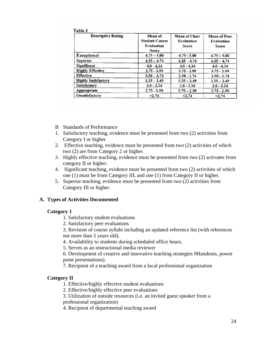|--|--|--|--|

| <b>Descriptive Rating</b>  | Mean of<br><b>Student Course</b><br><b>Evaluation</b><br><b>Score</b> | <b>Mean of Chair</b><br><b>Evaluation</b><br><b>Score</b> | <b>Mean of Peer</b><br><b>Evaluation</b><br>Score |
|----------------------------|-----------------------------------------------------------------------|-----------------------------------------------------------|---------------------------------------------------|
| <b>Exceptional</b>         | $4.75 - 5.00$                                                         | $4.75 - 5.00$                                             | $4.75 - 5.00$                                     |
| <b>Superior</b>            | $4.35 - 4.74$                                                         | $4.35 - 4.74$                                             | $4.35 - 4.74$                                     |
| <b>Significant</b>         | $4.0 - 4.34$                                                          | $4.0 - 4.34$                                              | $4.0 - 4.34$                                      |
| <b>Highly Effective</b>    | $3.75 - 3.99$                                                         | $3.75 - 3.99$                                             | $3.75 - 3.99$                                     |
| <b>Effective</b>           | $3.50 - 3.74$                                                         | $3.50 - 3.74$                                             | $3.50 - 3.74$                                     |
| <b>Highly Satisfactory</b> | $3.25 - 3.49$                                                         | $3.25 - 3.49$                                             | $3.25 - 3.49$                                     |
| <b>Satisfactory</b>        | $3.0 - 3.24$                                                          | $3.0 - 3.24$                                              | $3.0 - 3.24$                                      |
| Appropriate                | $2.75 - 2.99$                                                         | $2.75 - 2.99$                                             | $2.75 - 2.99$                                     |
| Unsatisfactory             | < 2.74                                                                | < 2.74                                                    | < 2.74                                            |

- B Standards of Performance
- 1. Satisfactory teaching, evidence must be presented from two (2) activities from Category I or higher
- 2. Effective teaching, evidence must be presented from two (2) activities of which two (2) are from Category 2 or higher.
- 3. Highly effective teaching, evidence must be presented from two (2) activates from category II or higher.
- 4. Significant teaching, evidence must be presented from two (2) activities of which one (1) must be from Category III, and one (1) from Category II or higher.
- 5. Superior teaching, evidence must be presented from two (2) activities from Category III or higher.

#### **A. Types of Activities Documented**

#### **Category 1**

- 1. Satisfactory student evaluations
- 2. Satisfactory peer evaluations

3. Revision of course syllabi including an updated reference list (with references not more than 5 years old).

- 4. Availability to students during scheduled office hours.
- 5. Serves as an instructional media reviewer

6. Development of creative and innovative teaching strategies 9Handouts, power point presentations).

7. Recipient of a teaching award from a local professional organization

#### **Category II**

- 1. Effective/highly effective student evaluations
- 2. Effective/highly effective peer evaluations
- 3. Utilization of outside resources (i.e. an invited guest speaker from a

professional organization)

4. Recipient of departmental teaching award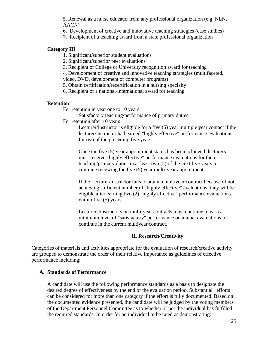5. Renewal as a nurse educator from any professional organization (e.g. NLN, AACN)

- 6. Development of creative and innovative teaching strategies (case studies)
- 7. Recipient of a teaching award from a state professional organization

#### **Category III**

- 1. Significant/superior student evaluations
- 2. Significant/superior peer evaluations
- 3. Recipient of College or University recognition award for teaching
- 4. Development of creative and innovative teaching strategies (multifaceted,

video, DVD, development of computer programs)

- 5. Obtain certification/recertification in a nursing specialty
- 6. Recipient of a national/international award for teaching

#### **Retention**

For retention in year one to 10 years:

Satisfactory teaching/performance of primary duties

For retention after 10 years:

Lecturer/instructor is eligible for a five (5) year multiple year contact if the lecturer/instructor had earned "highly effective" performance evaluations for two of the preceding five years.

Once the five (5) year appointment status has been achieved, lecturers must receive "highly effective" performance evaluations for their teaching/primary duties in at least two (2) of the next five years to continue renewing the five (5) year multi-year appointment.

If the Lecturer/instructor fails to attain a multiyear contract because of not achieving sufficient number of "highly effective" evaluations, they will be eligible after earning two (2) "highly effective" performance evaluations within five  $(5)$  years.

Lecturers/instructors on multi-year contracts must continue to earn a minimum level of "satisfactory" performance on annual evaluations to continue in the current multiyear contract.

#### **II. Research/Creativity**

Categories of materials and activities appropriate for the evaluation of research/creative activity are grouped to demonstrate the order of their relative importance as guidelines of effective performance including:

#### **A. Standards of Performance**

A candidate will use the following performance standards as a basis to designate the desired degree of effectiveness by the end of the evaluation period. Substantial efforts can be considered for more than one category if the effort is fully documented. Based on the documented evidence presented, the candidate will be judged by the voting members of the Department Personnel Committee as to whether or not the individual has fulfilled the required standards. In order for an individual to be rated as demonstrating: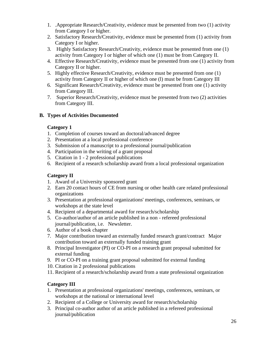- 1. .Appropriate Research/Creativity, evidence must be presented from two (1) activity from Category I or higher.
- 2. Satisfactory Research/Creativity, evidence must be presented from (1) activity from Category I or higher.
- 3. Highly Satisfactory Research/Creativity, evidence must be presented from one (1) activity from Category I or higher of which one (1) must be from Category II.
- 4. Effective Research/Creativity, evidence must be presented from one (1) activity from Category II or higher.
- 5. Highly effective Research/Creativity, evidence must be presented from one (1) activity from Category II or higher of which one (l) must be from Category III
- 6. Significant Research/Creativity, evidence must be presented from one (1) activity from Category III.
- 7. Superior Research/Creativity, evidence must be presented from two (2) activities from Category III.

## **B. Types of Activities Documented**

## **Category 1**

- 1. Completion of courses toward an doctoral/advanced degree
- 2. Presentation at a local professional conference
- 3. Submission of a manuscript to a professional journal/publication
- 4. Participation in the writing of a grant proposal
- 5. Citation in 1 2 professional publications
- 6. Recipient of a research scholarship award from a local professional organization

## **Category II**

- 1. Award of a University sponsored grant
- 2. Earn 20 contact hours of CE from nursing or other health care related professional organizations
- 3. Presentation at professional organizations' meetings, conferences, seminars, or workshops at the state level
- 4. Recipient of a departmental award for research/scholarship
- 5. Co-author/author of an article published in a non refereed professional journal/publication, i.e. Newsletter.
- 6. Author of a book chapter
- 7. Major contribution toward an externally funded research grant/contract Major contribution toward an externally funded training grant
- 8. Principal Investigator (PI) or CO-PI on a research grant proposal submitted for external funding
- 9. PI or CO-PI on a training grant proposal submitted for external funding
- 10. Citation in 2 professional publications
- 11. Recipient of a research/scholarship award from a state professional organization

## **Category III**

- 1. Presentation at professional organizations' meetings, conferences, seminars, or workshops at the national or international level
- 2. Recipient of a College or University award for research/scholarship
- 3. Principal co-author author of an article published in a refereed professional journal/publication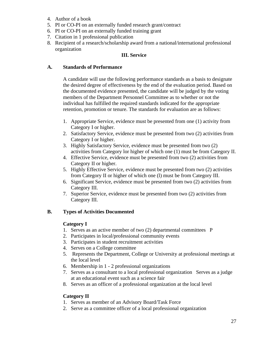- 4. Author of a book
- 5. PI or CO-PI on an externally funded research grant/contract
- 6. PI or CO-PI on an externally funded training grant
- 7. Citation in 1 professional publication
- 8. Recipient of a research/scholarship award from a national/international professional organization

#### **III. Service**

#### **A. Standards of Performance**

A candidate will use the following performance standards as a basis to designate the desired degree of effectiveness by the end of the evaluation period. Based on the documented evidence presented, the candidate will be judged by the voting members of the Department Personnel Committee as to whether or not the individual has fulfilled the required standards indicated for the appropriate retention, promotion or tenure. The standards for evaluation are as follows:

- 1. Appropriate Service, evidence must be presented from one (1) activity from Category I or higher.
- 2. Satisfactory Service, evidence must be presented from two (2) activities from Category I or higher.
- 3. Highly Satisfactory Service, evidence must be presented from two (2) activities from Category lor higher of which one (1) must be from Category II.
- 4. Effective Service, evidence must be presented from two (2) activities from Category II or higher.
- 5. Highly Effective Service, evidence must be presented from two (2) activities from Category II or higher of which one (l) must be from Category III.
- 6. Significant Service, evidence must be presented from two (2) activities from Category III.
- 7. Superior Service, evidence must be presented from two (2) activities from Category III.

#### **B. Types of Activities Documented**

#### **Category I**

- 1. Serves as an active member of two (2) departmental committees P
- 2. Participates in local/professional community events
- 3. Participates in student recruitment activities
- 4. Serves on a College committee
- 5. Represents the Department, College or University at professional meetings at the local level
- 6. Membership in 1 2 professional organizations
- 7. Serves as a consultant to a local professional organization Serves as a judge at an educational event such as a science fair
- 8. Serves as an officer of a professional organization at the local level

#### **Category II**

- 1. Serves as member of an Advisory Board/Task Force
- 2. Serve as a committee officer of a local professional organization